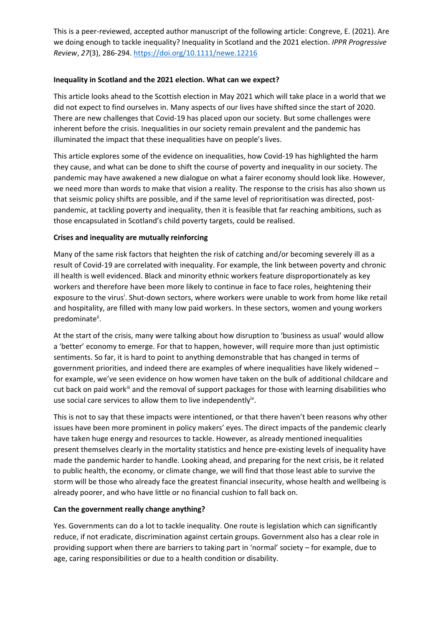This is a peer-reviewed, accepted author manuscript of the following article: Congreve, E. (2021). Are we doing enough to tackle inequality? Inequality in Scotland and the 2021 election. *IPPR Progressive Review*, *27*(3), 286-294[. https://doi.org/10.1111/newe.12216](https://doi.org/10.1111/newe.12216)

## **Inequality in Scotland and the 2021 election. What can we expect?**

This article looks ahead to the Scottish election in May 2021 which will take place in a world that we did not expect to find ourselves in. Many aspects of our lives have shifted since the start of 2020. There are new challenges that Covid-19 has placed upon our society. But some challenges were inherent before the crisis. Inequalities in our society remain prevalent and the pandemic has illuminated the impact that these inequalities have on people's lives.

This article explores some of the evidence on inequalities, how Covid-19 has highlighted the harm they cause, and what can be done to shift the course of poverty and inequality in our society. The pandemic may have awakened a new dialogue on what a fairer economy should look like. However, we need more than words to make that vision a reality. The response to the crisis has also shown us that seismic policy shifts are possible, and if the same level of reprioritisation was directed, postpandemic, at tackling poverty and inequality, then it is feasible that far reaching ambitions, such as those encapsulated in Scotland's child poverty targets, could be realised.

## **Crises and inequality are mutually reinforcing**

Many of the same risk factors that heighten the risk of catching and/or becoming severely ill as a result of Covid-19 are correlated with inequality. For example, the link between poverty and chronic ill health is well evidenced. Black and minority ethnic workers feature disproportionately as key workers and therefore have been more likely to continue in face to face roles, heightening their exposure to the virus<sup>i</sup>. Shut-down sectors, where workers were unable to work from home like retail and hospitality, are filled with many low paid workers. In these sectors, women and young workers predominate<sup>ii</sup>.

At the start of the crisis, many were talking about how disruption to 'business as usual' would allow a 'better' economy to emerge. For that to happen, however, will require more than just optimistic sentiments. So far, it is hard to point to anything demonstrable that has changed in terms of government priorities, and indeed there are examples of where inequalities have likely widened – for example, we've seen evidence on how women have taken on the bulk of additional childcare and cut back on paid workill and the removal of support packages for those with learning disabilities who use social care services to allow them to live independently<sup>iv</sup>.

This is not to say that these impacts were intentioned, or that there haven't been reasons why other issues have been more prominent in policy makers' eyes. The direct impacts of the pandemic clearly have taken huge energy and resources to tackle. However, as already mentioned inequalities present themselves clearly in the mortality statistics and hence pre-existing levels of inequality have made the pandemic harder to handle. Looking ahead, and preparing for the next crisis, be it related to public health, the economy, or climate change, we will find that those least able to survive the storm will be those who already face the greatest financial insecurity, whose health and wellbeing is already poorer, and who have little or no financial cushion to fall back on.

#### **Can the government really change anything?**

Yes. Governments can do a lot to tackle inequality. One route is legislation which can significantly reduce, if not eradicate, discrimination against certain groups. Government also has a clear role in providing support when there are barriers to taking part in 'normal' society – for example, due to age, caring responsibilities or due to a health condition or disability.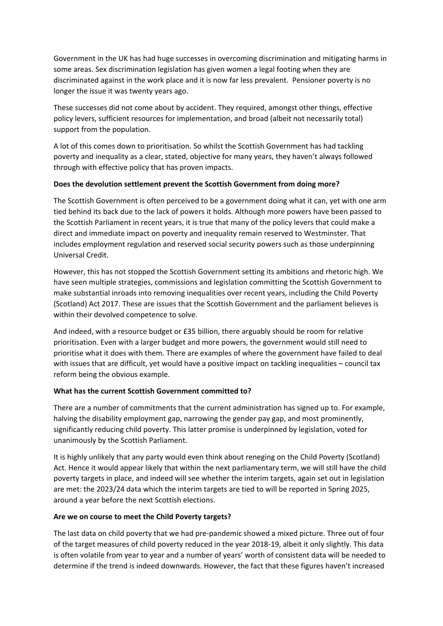Government in the UK has had huge successes in overcoming discrimination and mitigating harms in some areas. Sex discrimination legislation has given women a legal footing when they are discriminated against in the work place and it is now far less prevalent. Pensioner poverty is no longer the issue it was twenty years ago.

These successes did not come about by accident. They required, amongst other things, effective policy levers, sufficient resources for implementation, and broad (albeit not necessarily total) support from the population.

A lot of this comes down to prioritisation. So whilst the Scottish Government has had tackling poverty and inequality as a clear, stated, objective for many years, they haven't always followed through with effective policy that has proven impacts.

#### **Does the devolution settlement prevent the Scottish Government from doing more?**

The Scottish Government is often perceived to be a government doing what it can, yet with one arm tied behind its back due to the lack of powers it holds. Although more powers have been passed to the Scottish Parliament in recent years, it is true that many of the policy levers that could make a direct and immediate impact on poverty and inequality remain reserved to Westminster. That includes employment regulation and reserved social security powers such as those underpinning Universal Credit.

However, this has not stopped the Scottish Government setting its ambitions and rhetoric high. We have seen multiple strategies, commissions and legislation committing the Scottish Government to make substantial inroads into removing inequalities over recent years, including the Child Poverty (Scotland) Act 2017. These are issues that the Scottish Government and the parliament believes is within their devolved competence to solve.

And indeed, with a resource budget or £35 billion, there arguably should be room for relative prioritisation. Even with a larger budget and more powers, the government would still need to prioritise what it does with them. There are examples of where the government have failed to deal with issues that are difficult, yet would have a positive impact on tackling inequalities – council tax reform being the obvious example.

# **What has the current Scottish Government committed to?**

There are a number of commitments that the current administration has signed up to. For example, halving the disability employment gap, narrowing the gender pay gap, and most prominently, significantly reducing child poverty. This latter promise is underpinned by legislation, voted for unanimously by the Scottish Parliament.

It is highly unlikely that any party would even think about reneging on the Child Poverty (Scotland) Act. Hence it would appear likely that within the next parliamentary term, we will still have the child poverty targets in place, and indeed will see whether the interim targets, again set out in legislation are met: the 2023/24 data which the interim targets are tied to will be reported in Spring 2025, around a year before the next Scottish elections.

#### **Are we on course to meet the Child Poverty targets?**

The last data on child poverty that we had pre-pandemic showed a mixed picture. Three out of four of the target measures of child poverty reduced in the year 2018-19, albeit it only slightly. This data is often volatile from year to year and a number of years' worth of consistent data will be needed to determine if the trend is indeed downwards. However, the fact that these figures haven't increased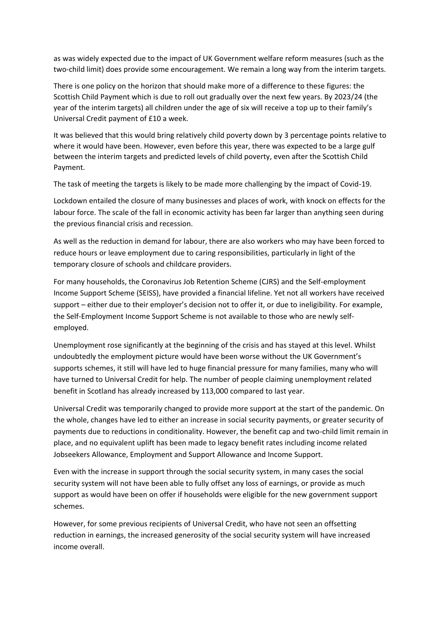as was widely expected due to the impact of UK Government welfare reform measures (such as the two-child limit) does provide some encouragement. We remain a long way from the interim targets.

There is one policy on the horizon that should make more of a difference to these figures: the Scottish Child Payment which is due to roll out gradually over the next few years. By 2023/24 (the year of the interim targets) all children under the age of six will receive a top up to their family's Universal Credit payment of £10 a week.

It was believed that this would bring relatively child poverty down by 3 percentage points relative to where it would have been. However, even before this year, there was expected to be a large gulf between the interim targets and predicted levels of child poverty, even after the Scottish Child Payment.

The task of meeting the targets is likely to be made more challenging by the impact of Covid-19.

Lockdown entailed the closure of many businesses and places of work, with knock on effects for the labour force. The scale of the fall in economic activity has been far larger than anything seen during the previous financial crisis and recession.

As well as the reduction in demand for labour, there are also workers who may have been forced to reduce hours or leave employment due to caring responsibilities, particularly in light of the temporary closure of schools and childcare providers.

For many households, the Coronavirus Job Retention Scheme (CJRS) and the Self-employment Income Support Scheme (SEISS), have provided a financial lifeline. Yet not all workers have received support – either due to their employer's decision not to offer it, or due to ineligibility. For example, the Self-Employment Income Support Scheme is not available to those who are newly selfemployed.

Unemployment rose significantly at the beginning of the crisis and has stayed at this level. Whilst undoubtedly the employment picture would have been worse without the UK Government's supports schemes, it still will have led to huge financial pressure for many families, many who will have turned to Universal Credit for help. The number of people claiming unemployment related benefit in Scotland has already increased by 113,000 compared to last year.

Universal Credit was temporarily changed to provide more support at the start of the pandemic. On the whole, changes have led to either an increase in social security payments, or greater security of payments due to reductions in conditionality. However, the benefit cap and two-child limit remain in place, and no equivalent uplift has been made to legacy benefit rates including income related Jobseekers Allowance, Employment and Support Allowance and Income Support.

Even with the increase in support through the social security system, in many cases the social security system will not have been able to fully offset any loss of earnings, or provide as much support as would have been on offer if households were eligible for the new government support schemes.

However, for some previous recipients of Universal Credit, who have not seen an offsetting reduction in earnings, the increased generosity of the social security system will have increased income overall.